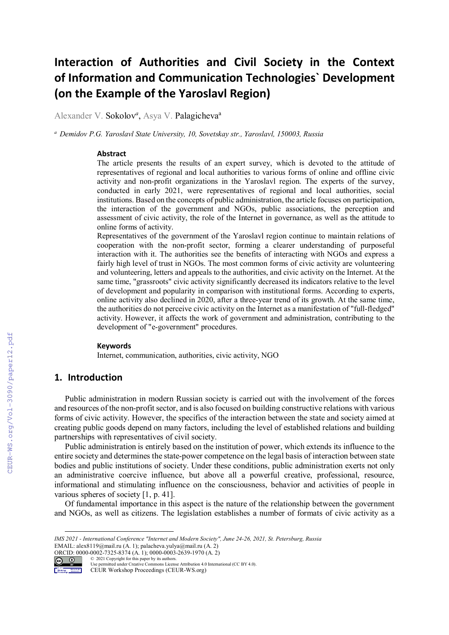# **Interaction of Authorities and Civil Society in the Context of Information and Communication Technologies` Development (on the Example of the Yaroslavl Region)**

Alexander V. Sokolov<sup>a</sup>, Asya V. Palagicheva<sup>a</sup>

*<sup>a</sup> Demidov P.G. Yaroslavl State University, 10, Sovetskay str., Yaroslavl, 150003, Russia* 

#### **Abstract**

The article presents the results of an expert survey, which is devoted to the attitude of representatives of regional and local authorities to various forms of online and offline civic activity and non-profit organizations in the Yaroslavl region. The experts of the survey, conducted in early 2021, were representatives of regional and local authorities, social institutions. Based on the concepts of public administration, the article focuses on participation, the interaction of the government and NGOs, public associations, the perception and assessment of civic activity, the role of the Internet in governance, as well as the attitude to online forms of activity.

Representatives of the government of the Yaroslavl region continue to maintain relations of cooperation with the non-profit sector, forming a clearer understanding of purposeful interaction with it. The authorities see the benefits of interacting with NGOs and express a fairly high level of trust in NGOs. The most common forms of civic activity are volunteering and volunteering, letters and appeals to the authorities, and civic activity on the Internet. At the same time, "grassroots" civic activity significantly decreased its indicators relative to the level of development and popularity in comparison with institutional forms. According to experts, online activity also declined in 2020, after a three-year trend of its growth. At the same time, the authorities do not perceive civic activity on the Internet as a manifestation of "full-fledged" activity. However, it affects the work of government and administration, contributing to the development of "e-government" procedures.

#### **Keywords 1**

Internet, communication, authorities, civic activity, NGO

## **1. Introduction**

Public administration in modern Russian society is carried out with the involvement of the forces and resources of the non-profit sector, and is also focused on building constructive relations with various forms of civic activity. However, the specifics of the interaction between the state and society aimed at creating public goods depend on many factors, including the level of established relations and building partnerships with representatives of civil society.

Public administration is entirely based on the institution of power, which extends its influence to the entire society and determines the state-power competence on the legal basis of interaction between state bodies and public institutions of society. Under these conditions, public administration exerts not only an administrative coercive influence, but above all a powerful creative, professional, resource, informational and stimulating influence on the consciousness, behavior and activities of people in various spheres of society [1, p. 41].

Of fundamental importance in this aspect is the nature of the relationship between the government and NGOs, as well as citizens. The legislation establishes a number of formats of civiс activity as a

CEUR Workshop Proceedings (CEUR-WS.org)

*IMS 2021 - International Conference "Internet and Modern Society", June 24-26, 2021, St. Petersburg, Russia* EMAIL: alex8119@mail.ru (A. 1); palacheva.yulya@mail.ru (A. 2)

ORCID: 0000-0002-7325-8374 (A. 1); 0000-0003-2639-1970 (A. 2)<br>  $\bigcirc \bigcirc$  2021 Copyright for this paper by its authors. © 2021 Copyright for this paper by its authors. Use permitted under Creative Commons License Attribution 4.0 International (CC BY 4.0).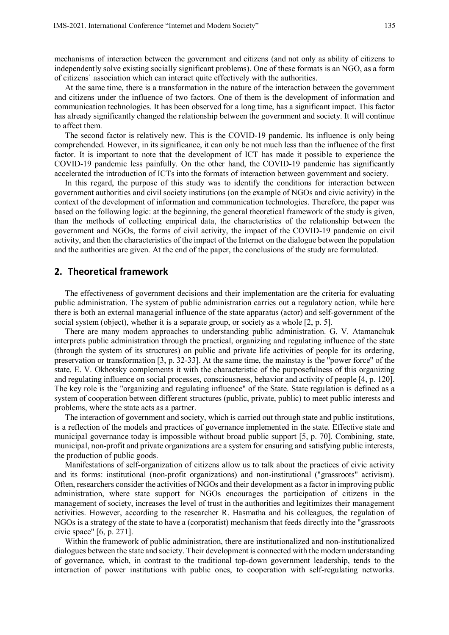mechanisms of interaction between the government and citizens (and not only as ability of citizens to independently solve existing socially significant problems). One of these formats is an NGO, as a form of citizens` association which can interact quite effectively with the authorities.

At the same time, there is a transformation in the nature of the interaction between the government and citizens under the influence of two factors. One of them is the development of information and communication technologies. It has been observed for a long time, has a significant impact. This factor has already significantly changed the relationship between the government and society. It will continue to affect them.

The second factor is relatively new. This is the COVID-19 pandemic. Its influence is only being comprehended. However, in its significance, it can only be not much less than the influence of the first factor. It is important to note that the development of ICT has made it possible to experience the COVID-19 pandemic less painfully. On the other hand, the COVID-19 pandemic has significantly accelerated the introduction of ICTs into the formats of interaction between government and society.

In this regard, the purpose of this study was to identify the conditions for interaction between government authorities and civil society institutions (on the example of NGOs and civic activity) in the context of the development of information and communication technologies. Therefore, the paper was based on the following logic: at the beginning, the general theoretical framework of the study is given, than the methods of collecting empirical data, the characteristics of the relationship between the government and NGOs, the forms of civil activity, the impact of the COVID-19 pandemic on civil activity, and then the characteristics of the impact of the Internet on the dialogue between the population and the authorities are given. At the end of the paper, the conclusions of the study are formulated.

#### **2. Theoretical framework**

The effectiveness of government decisions and their implementation are the criteria for evaluating public administration. The system of public administration carries out a regulatory action, while here there is both an external managerial influence of the state apparatus (actor) and self-government of the social system (object), whether it is a separate group, or society as a whole [2, p. 5].

There are many modern approaches to understanding public administration. G. V. Atamanchuk interprets public administration through the practical, organizing and regulating influence of the state (through the system of its structures) on public and private life activities of people for its ordering, preservation or transformation [3, p. 32-33]. At the same time, the mainstay is the "power force" of the state. E. V. Okhotsky complements it with the characteristic of the purposefulness of this organizing and regulating influence on social processes, consciousness, behavior and activity of people [4, p. 120]. The key role is the "organizing and regulating influence" of the State. State regulation is defined as a system of cooperation between different structures (public, private, public) to meet public interests and problems, where the state acts as a partner.

The interaction of government and society, which is carried out through state and public institutions, is a reflection of the models and practices of governance implemented in the state. Effective state and municipal governance today is impossible without broad public support [5, p. 70]. Combining, state, municipal, non-profit and private organizations are a system for ensuring and satisfying public interests, the production of public goods.

Manifestations of self-organization of citizens allow us to talk about the practices of civic activity and its forms: institutional (non-profit organizations) and non-institutional ("grassroots" activism). Often, researchers consider the activities of NGOs and their development as a factor in improving public administration, where state support for NGOs encourages the participation of citizens in the management of society, increases the level of trust in the authorities and legitimizes their management activities. However, according to the researcher R. Hasmatha and his colleagues, the regulation of NGOs is a strategy of the state to have a (corporatist) mechanism that feeds directly into the "grassroots civic space" [6, p. 271].

Within the framework of public administration, there are institutionalized and non-institutionalized dialogues between the state and society. Their development is connected with the modern understanding of governance, which, in contrast to the traditional top-down government leadership, tends to the interaction of power institutions with public ones, to cooperation with self-regulating networks.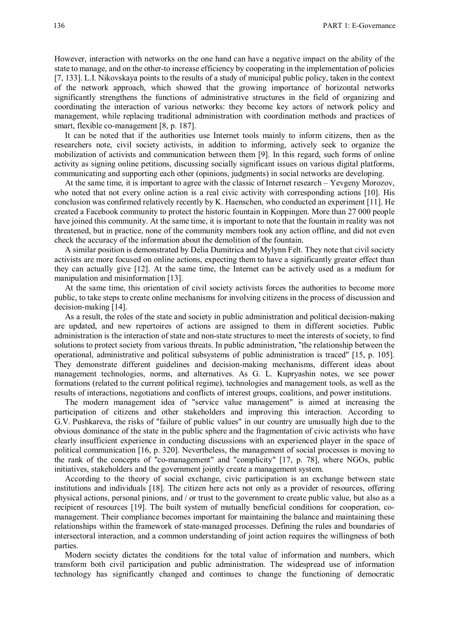However, interaction with networks on the one hand can have a negative impact on the ability of the state to manage, and on the other-to increase efficiency by cooperating in the implementation of policies [7, 133]. L.I. Nikovskaya points to the results of a study of municipal public policy, taken in the context of the network approach, which showed that the growing importance of horizontal networks significantly strengthens the functions of administrative structures in the field of organizing and coordinating the interaction of various networks: they become key actors of network policy and management, while replacing traditional administration with coordination methods and practices of smart, flexible co-management [8, p. 187].

It can be noted that if the authorities use Internet tools mainly to inform citizens, then as the researchers note, civil society activists, in addition to informing, actively seek to organize the mobilization of activists and communication between them [9]. In this regard, such forms of online activity as signing online petitions, discussing socially significant issues on various digital platforms, communicating and supporting each other (opinions, judgments) in social networks are developing.

At the same time, it is important to agree with the classic of Internet research – Yevgeny Morozov, who noted that not every online action is a real civic activity with corresponding actions [10]. His conclusion was confirmed relatively recently by K. Haenschen, who conducted an experiment [11]. He created a Facebook community to protect the historic fountain in Koppingen. More than 27 000 people have joined this community. At the same time, it is important to note that the fountain in reality was not threatened, but in practice, none of the community members took any action offline, and did not even check the accuracy of the information about the demolition of the fountain.

A similar position is demonstrated by Delia Dumitrica and Mylynn Felt. They note that civil society activists are more focused on online actions, expecting them to have a significantly greater effect than they can actually give [12]. At the same time, the Internet can be actively used as a medium for manipulation and misinformation [13].

At the same time, this orientation of civil society activists forces the authorities to become more public, to take steps to create online mechanisms for involving citizens in the process of discussion and decision-making [14].

As a result, the roles of the state and society in public administration and political decision-making are updated, and new repertoires of actions are assigned to them in different societies. Public administration is the interaction of state and non-state structures to meet the interests of society, to find solutions to protect society from various threats. In public administration, "the relationship between the operational, administrative and political subsystems of public administration is traced" [15, p. 105]. They demonstrate different guidelines and decision-making mechanisms, different ideas about management technologies, norms, and alternatives. As G. L. Kupryashin notes, we see power formations (related to the current political regime), technologies and management tools, as well as the results of interactions, negotiations and conflicts of interest groups, coalitions, and power institutions.

The modern management idea of "service value management" is aimed at increasing the participation of citizens and other stakeholders and improving this interaction. According to G.V. Pushkareva, the risks of "failure of public values" in our country are unusually high due to the obvious dominance of the state in the public sphere and the fragmentation of civic activists who have clearly insufficient experience in conducting discussions with an experienced player in the space of political communication [16, p. 320]. Nevertheless, the management of social processes is moving to the rank of the concepts of "co-management" and "complicity" [17, p. 78], where NGOs, public initiatives, stakeholders and the government jointly create a management system.

According to the theory of social exchange, civic participation is an exchange between state institutions and individuals [18]. The citizen here acts not only as a provider of resources, offering physical actions, personal pinions, and / or trust to the government to create public value, but also as a recipient of resources [19]. The built system of mutually beneficial conditions for cooperation, comanagement. Their compliance becomes important for maintaining the balance and maintaining these relationships within the framework of state-managed processes. Defining the rules and boundaries of intersectoral interaction, and a common understanding of joint action requires the willingness of both parties.

Modern society dictates the conditions for the total value of information and numbers, which transform both civil participation and public administration. The widespread use of information technology has significantly changed and continues to change the functioning of democratic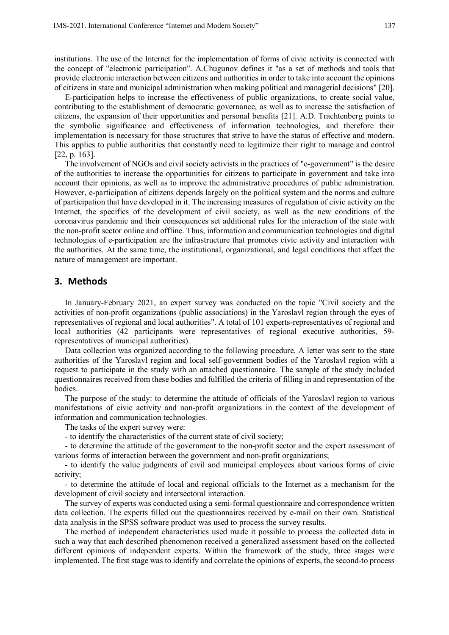institutions. The use of the Internet for the implementation of forms of civic activity is connected with the concept of "electronic participation". A.Chugunov defines it "as a set of methods and tools that provide electronic interaction between citizens and authorities in order to take into account the opinions of citizens in state and municipal administration when making political and managerial decisions" [20].

E-participation helps to increase the effectiveness of public organizations, to create social value, contributing to the establishment of democratic governance, as well as to increase the satisfaction of citizens, the expansion of their opportunities and personal benefits [21]. A.D. Trachtenberg points to the symbolic significance and effectiveness of information technologies, and therefore their implementation is necessary for those structures that strive to have the status of effective and modern. This applies to public authorities that constantly need to legitimize their right to manage and control [22, p. 163].

The involvement of NGOs and civil society activists in the practices of "e-government" is the desire of the authorities to increase the opportunities for citizens to participate in government and take into account their opinions, as well as to improve the administrative procedures of public administration. However, e-participation of citizens depends largely on the political system and the norms and culture of participation that have developed in it. The increasing measures of regulation of civic activity on the Internet, the specifics of the development of civil society, as well as the new conditions of the coronavirus pandemic and their consequences set additional rules for the interaction of the state with the non-profit sector online and offline. Thus, information and communication technologies and digital technologies of e-participation are the infrastructure that promotes civic activity and interaction with the authorities. At the same time, the institutional, organizational, and legal conditions that affect the nature of management are important.

## **3. Methods**

In January-February 2021, an expert survey was conducted on the topic "Civil society and the activities of non-profit organizations (public associations) in the Yaroslavl region through the eyes of representatives of regional and local authorities". A total of 101 experts-representatives of regional and local authorities (42 participants were representatives of regional executive authorities, 59 representatives of municipal authorities).

Data collection was organized according to the following procedure. A letter was sent to the state authorities of the Yaroslavl region and local self-government bodies of the Yaroslavl region with a request to participate in the study with an attached questionnaire. The sample of the study included questionnaires received from these bodies and fulfilled the criteria of filling in and representation of the bodies.

The purpose of the study: to determine the attitude of officials of the Yaroslavl region to various manifestations of civic activity and non-profit organizations in the context of the development of information and communication technologies.

The tasks of the expert survey were:

- to identify the characteristics of the current state of civil society;

- to determine the attitude of the government to the non-profit sector and the expert assessment of various forms of interaction between the government and non-profit organizations;

- to identify the value judgments of civil and municipal employees about various forms of civic activity;

- to determine the attitude of local and regional officials to the Internet as a mechanism for the development of civil society and intersectoral interaction.

The survey of experts was conducted using a semi-formal questionnaire and correspondence written data collection. The experts filled out the questionnaires received by e-mail on their own. Statistical data analysis in the SPSS software product was used to process the survey results.

The method of independent characteristics used made it possible to process the collected data in such a way that each described phenomenon received a generalized assessment based on the collected different opinions of independent experts. Within the framework of the study, three stages were implemented. The first stage was to identify and correlate the opinions of experts, the second-to process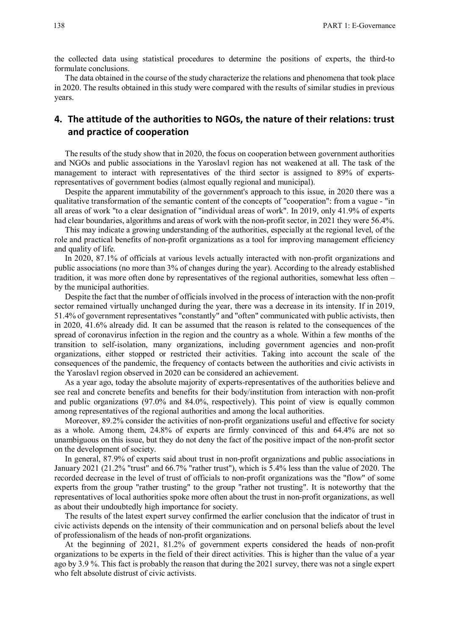the collected data using statistical procedures to determine the positions of experts, the third-to formulate conclusions.

The data obtained in the course of the study characterize the relations and phenomena that took place in 2020. The results obtained in this study were compared with the results of similar studies in previous years.

## **4. The attitude of the authorities to NGOs, the nature of their relations: trust and practice of cooperation**

The results of the study show that in 2020, the focus on cooperation between government authorities and NGOs and public associations in the Yaroslavl region has not weakened at all. The task of the management to interact with representatives of the third sector is assigned to 89% of expertsrepresentatives of government bodies (almost equally regional and municipal).

Despite the apparent immutability of the government's approach to this issue, in 2020 there was a qualitative transformation of the semantic content of the concepts of "cooperation": from a vague - "in all areas of work "to a clear designation of "individual areas of work". In 2019, only 41.9% of experts had clear boundaries, algorithms and areas of work with the non-profit sector, in 2021 they were 56.4%.

This may indicate a growing understanding of the authorities, especially at the regional level, of the role and practical benefits of non-profit organizations as a tool for improving management efficiency and quality of life.

In 2020, 87.1% of officials at various levels actually interacted with non-profit organizations and public associations (no more than 3% of changes during the year). According to the already established tradition, it was more often done by representatives of the regional authorities, somewhat less often – by the municipal authorities.

Despite the fact that the number of officials involved in the process of interaction with the non-profit sector remained virtually unchanged during the year, there was a decrease in its intensity. If in 2019, 51.4% of government representatives "constantly" and "often" communicated with public activists, then in 2020, 41.6% already did. It can be assumed that the reason is related to the consequences of the spread of coronavirus infection in the region and the country as a whole. Within a few months of the transition to self-isolation, many organizations, including government agencies and non-profit organizations, either stopped or restricted their activities. Taking into account the scale of the consequences of the pandemic, the frequency of contacts between the authorities and civic activists in the Yaroslavl region observed in 2020 can be considered an achievement.

As a year ago, today the absolute majority of experts-representatives of the authorities believe and see real and concrete benefits and benefits for their body/institution from interaction with non-profit and public organizations (97.0% and 84.0%, respectively). This point of view is equally common among representatives of the regional authorities and among the local authorities.

Moreover, 89.2% consider the activities of non-profit organizations useful and effective for society as a whole. Among them, 24.8% of experts are firmly convinced of this and 64.4% are not so unambiguous on this issue, but they do not deny the fact of the positive impact of the non-profit sector on the development of society.

In general, 87.9% of experts said about trust in non-profit organizations and public associations in January 2021 (21.2% "trust" and 66.7% "rather trust"), which is 5.4% less than the value of 2020. The recorded decrease in the level of trust of officials to non-profit organizations was the "flow" of some experts from the group "rather trusting" to the group "rather not trusting". It is noteworthy that the representatives of local authorities spoke more often about the trust in non-profit organizations, as well as about their undoubtedly high importance for society.

The results of the latest expert survey confirmed the earlier conclusion that the indicator of trust in civic activists depends on the intensity of their communication and on personal beliefs about the level of professionalism of the heads of non-profit organizations.

At the beginning of 2021, 81.2% of government experts considered the heads of non-profit organizations to be experts in the field of their direct activities. This is higher than the value of a year ago by 3.9 %. This fact is probably the reason that during the 2021 survey, there was not a single expert who felt absolute distrust of civic activists.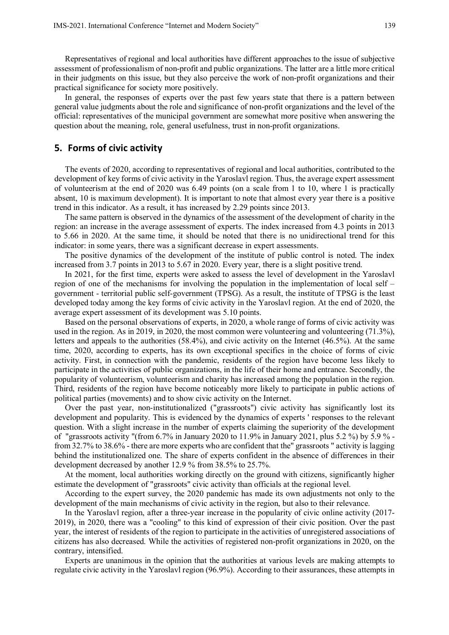Representatives of regional and local authorities have different approaches to the issue of subjective assessment of professionalism of non-profit and public organizations. The latter are a little more critical in their judgments on this issue, but they also perceive the work of non-profit organizations and their practical significance for society more positively.

In general, the responses of experts over the past few years state that there is a pattern between general value judgments about the role and significance of non-profit organizations and the level of the official: representatives of the municipal government are somewhat more positive when answering the question about the meaning, role, general usefulness, trust in non-profit organizations.

#### **5. Forms of civic activity**

The events of 2020, according to representatives of regional and local authorities, contributed to the development of key forms of civic activity in the Yaroslavl region. Thus, the average expert assessment of volunteerism at the end of 2020 was 6.49 points (on a scale from 1 to 10, where 1 is practically absent, 10 is maximum development). It is important to note that almost every year there is a positive trend in this indicator. As a result, it has increased by 2.29 points since 2013.

The same pattern is observed in the dynamics of the assessment of the development of charity in the region: an increase in the average assessment of experts. The index increased from 4.3 points in 2013 to 5.66 in 2020. At the same time, it should be noted that there is no unidirectional trend for this indicator: in some years, there was a significant decrease in expert assessments.

The positive dynamics of the development of the institute of public control is noted. The index increased from 3.7 points in 2013 to 5.67 in 2020. Every year, there is a slight positive trend.

In 2021, for the first time, experts were asked to assess the level of development in the Yaroslavl region of one of the mechanisms for involving the population in the implementation of local self – government - territorial public self-government (TPSG). As a result, the institute of TPSG is the least developed today among the key forms of civic activity in the Yaroslavl region. At the end of 2020, the average expert assessment of its development was 5.10 points.

Based on the personal observations of experts, in 2020, a whole range of forms of civic activity was used in the region. As in 2019, in 2020, the most common were volunteering and volunteering (71.3%), letters and appeals to the authorities (58.4%), and civic activity on the Internet (46.5%). At the same time, 2020, according to experts, has its own exceptional specifics in the choice of forms of civic activity. First, in connection with the pandemic, residents of the region have become less likely to participate in the activities of public organizations, in the life of their home and entrance. Secondly, the popularity of volunteerism, volunteerism and charity has increased among the population in the region. Third, residents of the region have become noticeably more likely to participate in public actions of political parties (movements) and to show civic activity on the Internet.

Over the past year, non-institutionalized ("grassroots") civic activity has significantly lost its development and popularity. This is evidenced by the dynamics of experts ' responses to the relevant question. With a slight increase in the number of experts claiming the superiority of the development of "grassroots activity "(from 6.7% in January 2020 to 11.9% in January 2021, plus 5.2 %) by 5.9 % from 32.7% to 38.6% - there are more experts who are confident that the" grassroots " activity is lagging behind the institutionalized one. The share of experts confident in the absence of differences in their development decreased by another 12.9 % from 38.5% to 25.7%.

At the moment, local authorities working directly on the ground with citizens, significantly higher estimate the development of "grassroots" civic activity than officials at the regional level.

According to the expert survey, the 2020 pandemic has made its own adjustments not only to the development of the main mechanisms of civic activity in the region, but also to their relevance.

In the Yaroslavl region, after a three-year increase in the popularity of civic online activity (2017- 2019), in 2020, there was a "cooling" to this kind of expression of their civic position. Over the past year, the interest of residents of the region to participate in the activities of unregistered associations of citizens has also decreased. While the activities of registered non-profit organizations in 2020, on the contrary, intensified.

Experts are unanimous in the opinion that the authorities at various levels are making attempts to regulate civic activity in the Yaroslavl region (96.9%). According to their assurances, these attempts in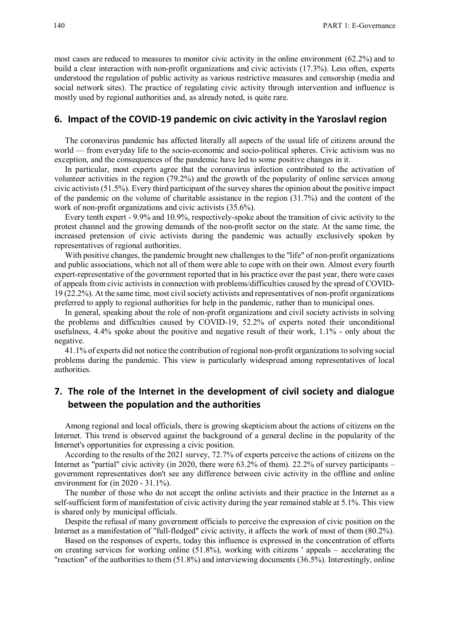most cases are reduced to measures to monitor civic activity in the online environment (62.2%) and to build a clear interaction with non-profit organizations and civic activists (17.3%). Less often, experts understood the regulation of public activity as various restrictive measures and censorship (media and social network sites). The practice of regulating civic activity through intervention and influence is mostly used by regional authorities and, as already noted, is quite rare.

## **6. Impact of the COVID-19 pandemic on civic activity in the Yaroslavl region**

The coronavirus pandemic has affected literally all aspects of the usual life of citizens around the world — from everyday life to the socio-economic and socio-political spheres. Civic activism was no exception, and the consequences of the pandemic have led to some positive changes in it.

In particular, most experts agree that the coronavirus infection contributed to the activation of volunteer activities in the region (79.2%) and the growth of the popularity of online services among civic activists (51.5%). Every third participant of the survey shares the opinion about the positive impact of the pandemic on the volume of charitable assistance in the region (31.7%) and the content of the work of non-profit organizations and civic activists (35.6%).

Every tenth expert - 9.9% and 10.9%, respectively-spoke about the transition of civic activity to the protest channel and the growing demands of the non-profit sector on the state. At the same time, the increased pretension of civic activists during the pandemic was actually exclusively spoken by representatives of regional authorities.

With positive changes, the pandemic brought new challenges to the "life" of non-profit organizations and public associations, which not all of them were able to cope with on their own. Almost every fourth expert-representative of the government reported that in his practice over the past year, there were cases of appeals from civic activists in connection with problems/difficulties caused by the spread of COVID-19 (22.2%). At the same time, most civil society activists and representatives of non-profit organizations preferred to apply to regional authorities for help in the pandemic, rather than to municipal ones.

In general, speaking about the role of non-profit organizations and civil society activists in solving the problems and difficulties caused by COVID-19, 52.2% of experts noted their unconditional usefulness, 4.4% spoke about the positive and negative result of their work, 1.1% - only about the negative.

41.1% of experts did not notice the contribution of regional non-profit organizations to solving social problems during the pandemic. This view is particularly widespread among representatives of local authorities.

# **7. The role of the Internet in the development of civil society and dialogue between the population and the authorities**

Among regional and local officials, there is growing skepticism about the actions of citizens on the Internet. This trend is observed against the background of a general decline in the popularity of the Internet's opportunities for expressing a civic position.

According to the results of the 2021 survey, 72.7% of experts perceive the actions of citizens on the Internet as "partial" civic activity (in 2020, there were 63.2% of them). 22.2% of survey participants – government representatives don't see any difference between civic activity in the offline and online environment for (in 2020 - 31.1%).

The number of those who do not accept the online activists and their practice in the Internet as a self-sufficient form of manifestation of civic activity during the year remained stable at 5.1%. This view is shared only by municipal officials.

Despite the refusal of many government officials to perceive the expression of civic position on the Internet as a manifestation of "full-fledged" civic activity, it affects the work of most of them (80.2%).

Based on the responses of experts, today this influence is expressed in the concentration of efforts on creating services for working online (51.8%), working with citizens ' appeals – accelerating the "reaction" of the authorities to them (51.8%) and interviewing documents (36.5%). Interestingly, online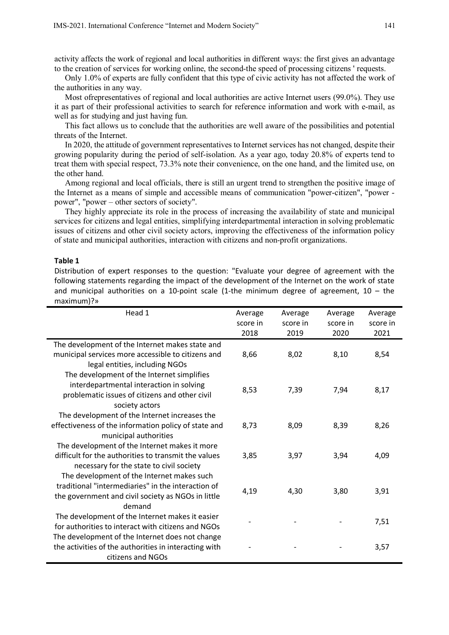activity affects the work of regional and local authorities in different ways: the first gives an advantage to the creation of services for working online, the second-the speed of processing citizens ' requests.

Only 1.0% of experts are fully confident that this type of civic activity has not affected the work of the authorities in any way.

Most ofrepresentatives of regional and local authorities are active Internet users (99.0%). They use it as part of their professional activities to search for reference information and work with e-mail, as well as for studying and just having fun.

This fact allows us to conclude that the authorities are well aware of the possibilities and potential threats of the Internet.

In 2020, the attitude of government representatives to Internet services has not changed, despite their growing popularity during the period of self-isolation. As a year ago, today 20.8% of experts tend to treat them with special respect, 73.3% note their convenience, on the one hand, and the limited use, on the other hand.

Among regional and local officials, there is still an urgent trend to strengthen the positive image of the Internet as a means of simple and accessible means of communication "power-citizen", "power power", "power – other sectors of society".

They highly appreciate its role in the process of increasing the availability of state and municipal services for citizens and legal entities, simplifying interdepartmental interaction in solving problematic issues of citizens and other civil society actors, improving the effectiveness of the information policy of state and municipal authorities, interaction with citizens and non-profit organizations.

#### **Table 1**

Distribution of expert responses to the question: "Evaluate your degree of agreement with the following statements regarding the impact of the development of the Internet on the work of state and municipal authorities on a 10-point scale (1-the minimum degree of agreement,  $10 -$  the maximum)?»

| Head 1                                                | Average  | Average  | Average  | Average  |
|-------------------------------------------------------|----------|----------|----------|----------|
|                                                       | score in | score in | score in | score in |
|                                                       | 2018     | 2019     | 2020     | 2021     |
| The development of the Internet makes state and       |          |          |          |          |
| municipal services more accessible to citizens and    | 8,66     | 8,02     | 8,10     | 8,54     |
| legal entities, including NGOs                        |          |          |          |          |
| The development of the Internet simplifies            |          |          |          |          |
| interdepartmental interaction in solving              | 8,53     | 7,39     | 7,94     | 8,17     |
| problematic issues of citizens and other civil        |          |          |          |          |
| society actors                                        |          |          |          |          |
| The development of the Internet increases the         |          |          |          |          |
| effectiveness of the information policy of state and  | 8,73     | 8,09     | 8,39     | 8,26     |
| municipal authorities                                 |          |          |          |          |
| The development of the Internet makes it more         |          |          |          |          |
| difficult for the authorities to transmit the values  | 3,85     | 3,97     | 3,94     | 4,09     |
| necessary for the state to civil society              |          |          |          |          |
| The development of the Internet makes such            |          |          |          |          |
| traditional "intermediaries" in the interaction of    | 4,19     | 4,30     | 3,80     | 3,91     |
| the government and civil society as NGOs in little    |          |          |          |          |
| demand                                                |          |          |          |          |
| The development of the Internet makes it easier       |          |          |          | 7,51     |
| for authorities to interact with citizens and NGOs    |          |          |          |          |
| The development of the Internet does not change       |          |          |          |          |
| the activities of the authorities in interacting with |          |          |          | 3,57     |
| citizens and NGOs                                     |          |          |          |          |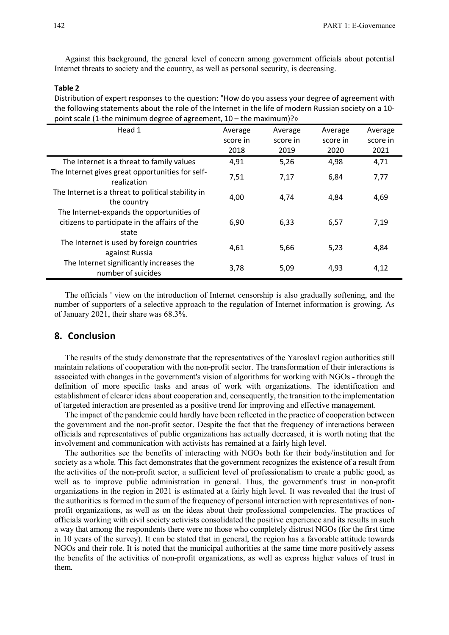Against this background, the general level of concern among government officials about potential Internet threats to society and the country, as well as personal security, is decreasing.

#### **Table 2**

Distribution of expert responses to the question: "How do you assess your degree of agreement with the following statements about the role of the Internet in the life of modern Russian society on a 10 point scale (1-the minimum degree of agreement, 10 – the maximum)?»

| Head 1                                                                                              | Average  | Average  | Average  | Average  |
|-----------------------------------------------------------------------------------------------------|----------|----------|----------|----------|
|                                                                                                     | score in | score in | score in | score in |
|                                                                                                     | 2018     | 2019     | 2020     | 2021     |
| The Internet is a threat to family values                                                           | 4,91     | 5,26     | 4,98     | 4,71     |
| The Internet gives great opportunities for self-<br>realization                                     | 7,51     | 7,17     | 6,84     | 7,77     |
| The Internet is a threat to political stability in<br>the country                                   | 4,00     | 4,74     | 4,84     | 4,69     |
| The Internet-expands the opportunities of<br>citizens to participate in the affairs of the<br>state | 6,90     | 6,33     | 6,57     | 7,19     |
| The Internet is used by foreign countries<br>against Russia                                         | 4,61     | 5,66     | 5,23     | 4,84     |
| The Internet significantly increases the<br>number of suicides                                      | 3,78     | 5,09     | 4,93     | 4,12     |

The officials ' view on the introduction of Internet censorship is also gradually softening, and the number of supporters of a selective approach to the regulation of Internet information is growing. As of January 2021, their share was 68.3%.

## **8. Conclusion**

The results of the study demonstrate that the representatives of the Yaroslavl region authorities still maintain relations of cooperation with the non-profit sector. The transformation of their interactions is associated with changes in the government's vision of algorithms for working with NGOs - through the definition of more specific tasks and areas of work with organizations. The identification and establishment of clearer ideas about cooperation and, consequently, the transition to the implementation of targeted interaction are presented as a positive trend for improving and effective management.

The impact of the pandemic could hardly have been reflected in the practice of cooperation between the government and the non-profit sector. Despite the fact that the frequency of interactions between officials and representatives of public organizations has actually decreased, it is worth noting that the involvement and communication with activists has remained at a fairly high level.

The authorities see the benefits of interacting with NGOs both for their body/institution and for society as a whole. This fact demonstrates that the government recognizes the existence of a result from the activities of the non-profit sector, a sufficient level of professionalism to create a public good, as well as to improve public administration in general. Thus, the government's trust in non-profit organizations in the region in 2021 is estimated at a fairly high level. It was revealed that the trust of the authorities is formed in the sum of the frequency of personal interaction with representatives of nonprofit organizations, as well as on the ideas about their professional competencies. The practices of officials working with civil society activists consolidated the positive experience and its results in such a way that among the respondents there were no those who completely distrust NGOs (for the first time in 10 years of the survey). It can be stated that in general, the region has a favorable attitude towards NGOs and their role. It is noted that the municipal authorities at the same time more positively assess the benefits of the activities of non-profit organizations, as well as express higher values of trust in them.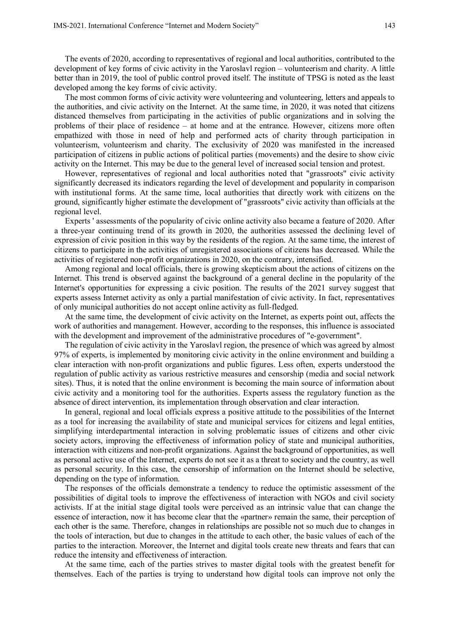The events of 2020, according to representatives of regional and local authorities, contributed to the development of key forms of civic activity in the Yaroslavl region – volunteerism and charity. A little better than in 2019, the tool of public control proved itself. The institute of TPSG is noted as the least developed among the key forms of civic activity.

The most common forms of civic activity were volunteering and volunteering, letters and appeals to the authorities, and civic activity on the Internet. At the same time, in 2020, it was noted that citizens distanced themselves from participating in the activities of public organizations and in solving the problems of their place of residence – at home and at the entrance. However, citizens more often empathized with those in need of help and performed acts of charity through participation in volunteerism, volunteerism and charity. The exclusivity of 2020 was manifested in the increased participation of citizens in public actions of political parties (movements) and the desire to show civic activity on the Internet. This may be due to the general level of increased social tension and protest.

However, representatives of regional and local authorities noted that "grassroots" civic activity significantly decreased its indicators regarding the level of development and popularity in comparison with institutional forms. At the same time, local authorities that directly work with citizens on the ground, significantly higher estimate the development of "grassroots" civic activity than officials at the regional level.

Experts ' assessments of the popularity of civic online activity also became a feature of 2020. After a three-year continuing trend of its growth in 2020, the authorities assessed the declining level of expression of civic position in this way by the residents of the region. At the same time, the interest of citizens to participate in the activities of unregistered associations of citizens has decreased. While the activities of registered non-profit organizations in 2020, on the contrary, intensified.

Among regional and local officials, there is growing skepticism about the actions of citizens on the Internet. This trend is observed against the background of a general decline in the popularity of the Internet's opportunities for expressing a civic position. The results of the 2021 survey suggest that experts assess Internet activity as only a partial manifestation of civic activity. In fact, representatives of only municipal authorities do not accept online activity as full-fledged.

At the same time, the development of civic activity on the Internet, as experts point out, affects the work of authorities and management. However, according to the responses, this influence is associated with the development and improvement of the administrative procedures of "e-government".

The regulation of civic activity in the Yaroslavl region, the presence of which was agreed by almost 97% of experts, is implemented by monitoring civic activity in the online environment and building a clear interaction with non-profit organizations and public figures. Less often, experts understood the regulation of public activity as various restrictive measures and censorship (media and social network sites). Thus, it is noted that the online environment is becoming the main source of information about civic activity and a monitoring tool for the authorities. Experts assess the regulatory function as the absence of direct intervention, its implementation through observation and clear interaction.

In general, regional and local officials express a positive attitude to the possibilities of the Internet as a tool for increasing the availability of state and municipal services for citizens and legal entities, simplifying interdepartmental interaction in solving problematic issues of citizens and other civic society actors, improving the effectiveness of information policy of state and municipal authorities, interaction with citizens and non-profit organizations. Against the background of opportunities, as well as personal active use of the Internet, experts do not see it as a threat to society and the country, as well as personal security. In this case, the censorship of information on the Internet should be selective, depending on the type of information.

The responses of the officials demonstrate a tendency to reduce the optimistic assessment of the possibilities of digital tools to improve the effectiveness of interaction with NGOs and civil society activists. If at the initial stage digital tools were perceived as an intrinsic value that can change the essence of interaction, now it has become clear that the «partner» remain the same, their perception of each other is the same. Therefore, changes in relationships are possible not so much due to changes in the tools of interaction, but due to changes in the attitude to each other, the basic values of each of the parties to the interaction. Moreover, the Internet and digital tools create new threats and fears that can reduce the intensity and effectiveness of interaction.

At the same time, each of the parties strives to master digital tools with the greatest benefit for themselves. Each of the parties is trying to understand how digital tools can improve not only the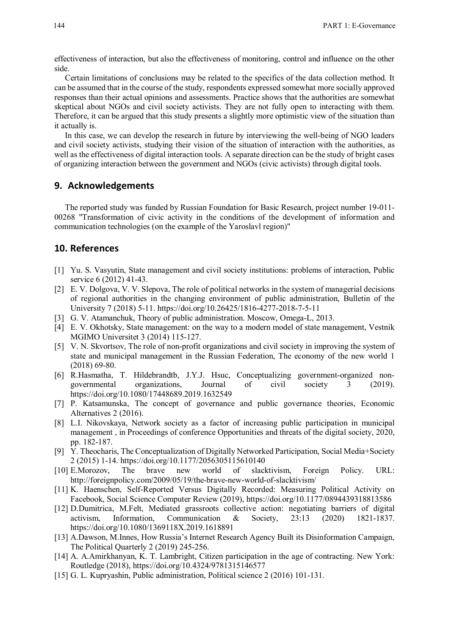effectiveness of interaction, but also the effectiveness of monitoring, control and influence on the other side.

Certain limitations of conclusions may be related to the specifics of the data collection method. It can be assumed that in the course of the study, respondents expressed somewhat more socially approved responses than their actual opinions and assessments. Practice shows that the authorities are somewhat skeptical about NGOs and civil society activists. They are not fully open to interacting with them. Therefore, it can be argued that this study presents a slightly more optimistic view of the situation than it actually is.

In this case, we can develop the research in future by interviewing the well-being of NGO leaders and civil society activists, studying their vision of the situation of interaction with the authorities, as well as the effectiveness of digital interaction tools. A separate direction can be the study of bright cases of organizing interaction between the government and NGOs (civic activists) through digital tools.

#### **9. Acknowledgements**

The reported study was funded by Russian Foundation for Basic Research, project number 19-011- 00268 "Transformation of civic activity in the conditions of the development of information and communication technologies (on the example of the Yaroslavl region)"

#### **10. References**

- [1] Yu. S. Vasyutin, State management and civil society institutions: problems of interaction, Public service 6 (2012) 41-43.
- [2] E. V. Dolgova, V. V. Slepova, The role of political networks in the system of managerial decisions of regional authorities in the changing environment of public administration, Bulletin of the University 7 (2018) 5-11. https://doi.org/10.26425/1816-4277-2018-7-5-11
- [3] G. V. Atamanchuk, Theory of public administration. Moscow, Omega-L, 2013.
- [4] E. V. Okhotsky, State management: on the way to a modern model of state management, Vestnik MGIMO Universitet 3 (2014) 115-127.
- [5] V. N. Skvortsov, The role of non-profit organizations and civil society in improving the system of state and municipal management in the Russian Federation, The economy of the new world 1 (2018) 69-80.
- [6] R.Hasmatha, T. Hildebrandtb, J.Y.J. Hsuc, Conceptualizing government-organized nongovernmental organizations, Journal of civil society 3 (2019). https://doi.org/10.1080/17448689.2019.1632549
- [7] P. Katsamunska, The concept of governance and public governance theories, Economic Alternatives 2 (2016).
- [8] L.I. Nikovskaya, Network society as a factor of increasing public participation in municipal management , in Proceedings of conference Opportunities and threats of the digital society, 2020, pp. 182-187.
- [9] Y. Theocharis, The Conceptualization of Digitally Networked Participation, Social Media+Society 2 (2015) 1-14. https://doi.org/10.1177/2056305115610140
- [10] E.Morozov, The brave new world of slacktivism, Foreign Policy. URL: http://foreignpolicy.com/2009/05/19/the-brave-new-world-of-slacktivism/
- [11] K. Haenschen, Self-Reported Versus Digitally Recorded: Measuring Political Activity on Facebook, Social Science Computer Review (2019), https://doi.org/10.1177/0894439318813586
- [12] D.Dumitrica, M.Felt, Mediated grassroots collective action: negotiating barriers of digital activism, Information, Communication & Society, 23:13 (2020) 1821-1837. https://doi.org/10.1080/1369118X.2019.1618891
- [13] A.Dawson, M.Innes, How Russia's Internet Research Agency Built its Disinformation Campaign, The Political Quarterly 2 (2019) 245-256.
- [14] A. A.Amirkhanyan, K. T. Lambright, Citizen participation in the age of contracting. New York: Routledge (2018), https://doi.org/10.4324/9781315146577
- [15] G. L. Kupryashin, Public administration, Political science 2 (2016) 101-131.